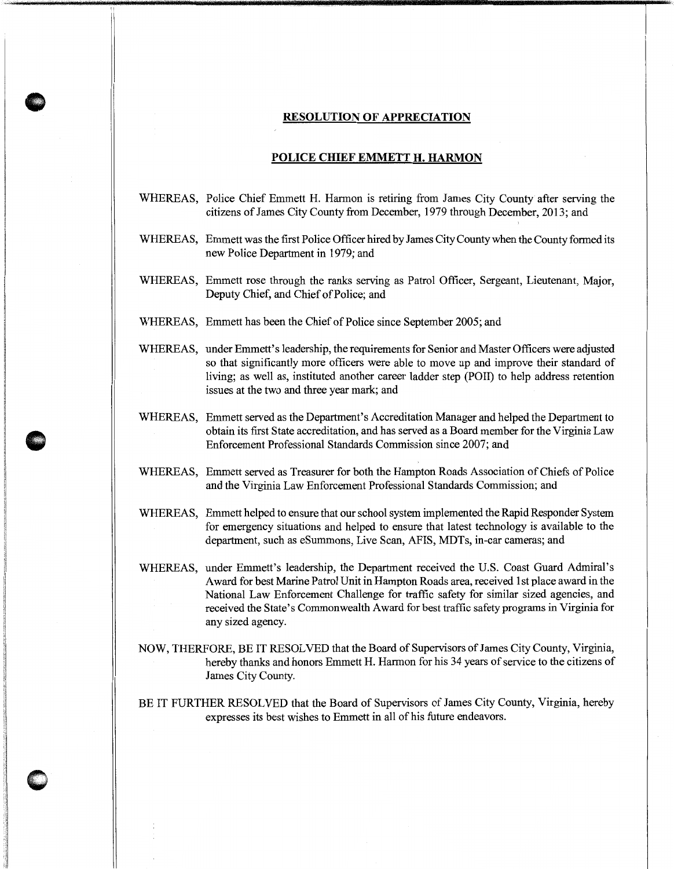## **RESOLUTION OF APPRECIATION**

## **POLICE CHIEF EMMETT H. HARMON**

- WHEREAS, Police Chief Emmett H. Hannon is retiring from James City County after serving the citizens of James City County from December, 1979 through December, 2013; and
- WHEREAS, Emmett was the first Police Officer hired by James City County when the County formed its new Police Department in 1979; and
- WHEREAS, Emmett rose through the ranks serving as Patrol Officer, Sergeant, Lieutenant, Major, Deputy Chief, and Chief of Police; and
- WHEREAS, Emmett has been the Chief of Police since September 2005; and
- WHEREAS, under Emmett's leadership, the requirements for Senior and Master Officers were adjusted so that significantly more officers were able to move up and improve their standard of living; as well as, instituted another career ladder step (POll) to help address retention issues at the two and three year mark; and
- WHEREAS, Emmett served as the Department's Accreditation Manager and helped the Department to obtain its first State accreditation, and has served as a Board member for the Virginia Law Enforcement Professional Standards Commission since 2007; and
- WHEREAS, Emmett served as Treasurer for both the Hampton Roads Association of Chiefs of Police and the Virginia Law Enforcement Professional Standards Commission; and
- WHEREAS, Emmett helped to ensure that our school system implemented the Rapid Responder System for emergency situations and helped to ensure that latest technology is available to the department, such as eSummons, Live Scan, AFIS, MDTs, in-car cameras; and
- WHEREAS, under Emmett's leadership, the Department received the U.S. Coast Guard Admiral's Award for best Marine Patrol Unit in Hampton Roads area, received 1st place award in the National Law Enforcement Challenge for traffic safety for similar sized agencies, and received the State's Commonwealth Award for best traffic safety programs in Virginia for any sized agency.
- NOW, THERFORE, BE IT RESOLVED that the Board of Supervisors of James City County, Virginia, hereby thanks and honors Emmett H. Harmon for his 34 years of service to the citizens of James City County.
- BE IT FURTHER RESOLVED that the Board of Supervisors of James City County, Virginia, hereby expresses its best wishes to Emmett in all of his future endeavors.